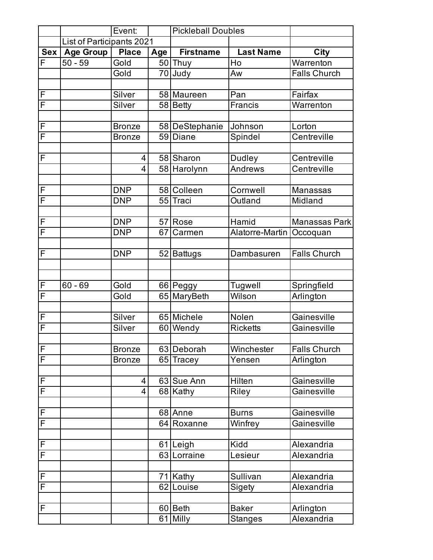|                         |                           | Event:         |     | <b>Pickleball Doubles</b> |                  |                     |
|-------------------------|---------------------------|----------------|-----|---------------------------|------------------|---------------------|
|                         | List of Participants 2021 |                |     |                           |                  |                     |
| Sex                     | <b>Age Group</b>          | <b>Place</b>   | Age | <b>Firstname</b>          | <b>Last Name</b> | City                |
| F                       | $50 - 59$                 | Gold           |     | $\overline{50}$ Thuy      | Ho               | Warrenton           |
|                         |                           | Gold           |     | 70 Judy                   | Aw               | <b>Falls Church</b> |
|                         |                           |                |     |                           |                  |                     |
| F                       |                           | Silver         |     | 58 Maureen                | Pan              | Fairfax             |
| $\overline{\mathsf{F}}$ |                           | Silver         |     | 58 Betty                  | <b>Francis</b>   | Warrenton           |
|                         |                           |                |     |                           |                  |                     |
| F                       |                           | <b>Bronze</b>  |     | 58 DeStephanie            | Johnson          | Lorton              |
| $\overline{\mathsf{F}}$ |                           | <b>Bronze</b>  |     | 59 Diane                  | Spindel          | Centreville         |
|                         |                           |                |     |                           |                  |                     |
| F                       |                           | 4              |     | 58 Sharon                 | Dudley           | Centreville         |
|                         |                           | $\overline{4}$ |     | 58 Harolynn               | Andrews          | Centreville         |
|                         |                           |                |     |                           |                  |                     |
| F                       |                           | <b>DNP</b>     |     | 58 Colleen                | Cornwell         | <b>Manassas</b>     |
| F                       |                           | <b>DNP</b>     |     | 55 Traci                  | Outland          | Midland             |
|                         |                           |                |     |                           |                  |                     |
| F                       |                           | <b>DNP</b>     |     | 57 Rose                   | Hamid            | Manassas Park       |
| F                       |                           | <b>DNP</b>     | 67  | Carmen                    | Alatorre-Martin  | Occoquan            |
|                         |                           |                |     |                           |                  |                     |
| F                       |                           | <b>DNP</b>     |     | 52 Battugs                | Dambasuren       | <b>Falls Church</b> |
|                         |                           |                |     |                           |                  |                     |
|                         |                           |                |     |                           |                  |                     |
| F                       | $60 - 69$                 | Gold           |     | 66 Peggy                  | Tugwell          | Springfield         |
| $\overline{\mathsf{F}}$ |                           | Gold           |     | 65 MaryBeth               | Wilson           | Arlington           |
|                         |                           |                |     |                           |                  |                     |
| F                       |                           | Silver         |     | 65 Michele                | Nolen            | Gainesville         |
| F                       |                           | Silver         |     | 60 Wendy                  | <b>Ricketts</b>  | Gainesville         |
|                         |                           |                |     |                           |                  |                     |
| F                       |                           | <b>Bronze</b>  |     | 63 Deborah                | Winchester       | <b>Falls Church</b> |
| $\overline{\mathsf{F}}$ |                           | <b>Bronze</b>  |     | 65 Tracey                 | Yensen           | Arlington           |
|                         |                           | 4              |     |                           | Hilten           | Gainesville         |
| F<br>$\overline{F}$     |                           | 4              |     | 63 Sue Ann                |                  | Gainesville         |
|                         |                           |                |     | 68 Kathy                  | Riley            |                     |
| F                       |                           |                |     | 68 Anne                   | <b>Burns</b>     | Gainesville         |
| $\overline{\mathsf{F}}$ |                           |                |     | 64 Roxanne                | Winfrey          | Gainesville         |
|                         |                           |                |     |                           |                  |                     |
| F                       |                           |                |     | $\overline{61}$ Leigh     | Kidd             | Alexandria          |
| $\overline{\mathsf{F}}$ |                           |                | 63  | Lorraine                  | Lesieur          | Alexandria          |
|                         |                           |                |     |                           |                  |                     |
| $\mathsf F$             |                           |                |     | 71 Kathy                  | Sullivan         | Alexandria          |
| $\overline{\mathsf{F}}$ |                           |                |     | 62 Louise                 | Sigety           | Alexandria          |
|                         |                           |                |     |                           |                  |                     |
| F                       |                           |                |     | 60 Beth                   | <b>Baker</b>     | Arlington           |
|                         |                           |                |     | 61 Milly                  | <b>Stanges</b>   | Alexandria          |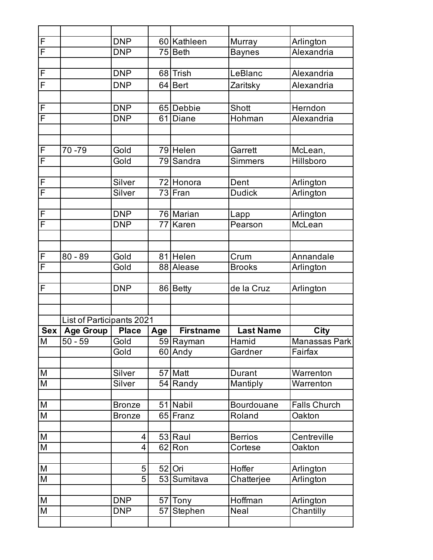| F                                                                                     |                           | <b>DNP</b>    |     | 60 Kathleen      | Murray            | Arlington           |
|---------------------------------------------------------------------------------------|---------------------------|---------------|-----|------------------|-------------------|---------------------|
| F                                                                                     |                           | <b>DNP</b>    |     | 75 Beth          | <b>Baynes</b>     | Alexandria          |
|                                                                                       |                           |               |     |                  |                   |                     |
| $\overline{F}$                                                                        |                           | <b>DNP</b>    |     | 68 Trish         | LeBlanc           | Alexandria          |
| F                                                                                     |                           | <b>DNP</b>    |     | 64 Bert          | Zaritsky          | Alexandria          |
|                                                                                       |                           |               |     |                  |                   |                     |
| F                                                                                     |                           | <b>DNP</b>    |     | 65 Debbie        | Shott             | Herndon             |
| $\overline{F}$                                                                        |                           | <b>DNP</b>    | 61  | Diane            | Hohman            | Alexandria          |
|                                                                                       |                           |               |     |                  |                   |                     |
|                                                                                       |                           |               |     |                  |                   |                     |
| $\overline{F}$                                                                        | 70 - 79                   | Gold          |     | 79 Helen         | Garrett           | McLean,             |
| $\overline{F}$                                                                        |                           | Gold          |     | 79 Sandra        | <b>Simmers</b>    | Hillsboro           |
|                                                                                       |                           |               |     |                  |                   |                     |
| $\overline{F}$                                                                        |                           | Silver        |     | 72 Honora        | Dent              | Arlington           |
| $\overline{F}$                                                                        |                           | Silver        |     | 73 Fran          | <b>Dudick</b>     | Arlington           |
|                                                                                       |                           |               |     |                  |                   |                     |
| F                                                                                     |                           | <b>DNP</b>    |     | 76 Marian        | Lapp              | Arlington           |
| $\overline{\mathsf{F}}$                                                               |                           | <b>DNP</b>    | 77  | Karen            | Pearson           | McLean              |
|                                                                                       |                           |               |     |                  |                   |                     |
| F                                                                                     | $80 - 89$                 | Gold          |     | 81 Helen         | Crum              | Annandale           |
| $\overline{\mathsf{F}}$                                                               |                           | Gold          |     | 88 Alease        | <b>Brooks</b>     |                     |
|                                                                                       |                           |               |     |                  |                   | Arlington           |
| $\overline{\mathsf{L}}$                                                               |                           | <b>DNP</b>    |     | 86 Betty         | de la Cruz        | Arlington           |
|                                                                                       |                           |               |     |                  |                   |                     |
|                                                                                       |                           |               |     |                  |                   |                     |
|                                                                                       | List of Participants 2021 |               |     |                  |                   |                     |
| <b>Sex</b>                                                                            | <b>Age Group</b>          | <b>Place</b>  | Age | <b>Firstname</b> | <b>Last Name</b>  | <b>City</b>         |
| M                                                                                     | $50 - 59$                 | Gold          |     | 59 Rayman        | Hamid             | Manassas Park       |
|                                                                                       |                           | Gold          |     | 60 Andy          | Gardner           | Fairfax             |
|                                                                                       |                           |               |     |                  |                   |                     |
| M                                                                                     |                           | Silver        |     | 57 Matt          | Durant            | Warrenton           |
| M                                                                                     |                           | Silver        |     | 54 Randy         | Mantiply          | Warrenton           |
|                                                                                       |                           |               |     |                  |                   |                     |
| M                                                                                     |                           | <b>Bronze</b> |     | 51 Nabil         | <b>Bourdouane</b> | <b>Falls Church</b> |
| M                                                                                     |                           | <b>Bronze</b> |     | 65 Franz         | Roland            | Oakton              |
|                                                                                       |                           |               |     |                  |                   |                     |
| $\mathsf{M}% _{T}=\mathsf{M}_{T}\!\left( a,b\right) ,\ \mathsf{M}_{T}=\mathsf{M}_{T}$ |                           | 4             |     | 53 Raul          | <b>Berrios</b>    | Centreville         |
| ${\sf M}$                                                                             |                           | 4             |     | 62 Ron           | Cortese           | Oakton              |
|                                                                                       |                           |               |     |                  |                   |                     |
| $\mathsf{M}% _{T}=\mathsf{M}_{T}\!\left( a,b\right) ,\ \mathsf{M}_{T}=\mathsf{M}_{T}$ |                           | 5             |     | 52 Ori           | Hoffer            | Arlington           |
| M                                                                                     |                           | 5             |     | 53 Sumitava      | Chatterjee        | Arlington           |
|                                                                                       |                           |               |     |                  |                   |                     |
| M                                                                                     |                           | <b>DNP</b>    |     | 57 Tony          | Hoffman           | Arlington           |
| M                                                                                     |                           | <b>DNP</b>    |     | 57 Stephen       | Neal              | Chantilly           |
|                                                                                       |                           |               |     |                  |                   |                     |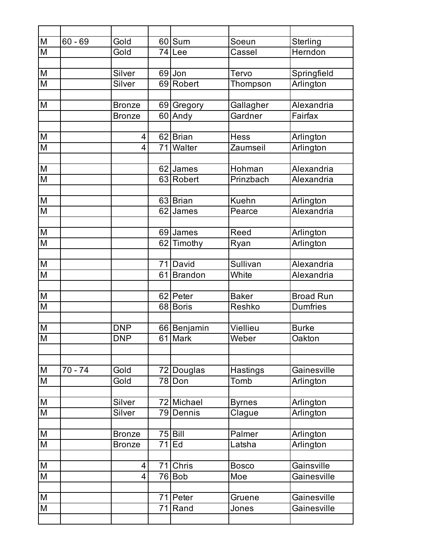| $\overline{M}$                                                                        | $60 - 69$ | Gold           | 60 Sum               | Soeun            | Sterling         |
|---------------------------------------------------------------------------------------|-----------|----------------|----------------------|------------------|------------------|
| $\overline{\mathsf{M}}$                                                               |           | Gold           | 74 Lee               | Cassel           | Herndon          |
|                                                                                       |           |                |                      |                  |                  |
| $\overline{M}$                                                                        |           | Silver         | 69 Jon               | Tervo            | Springfield      |
| M                                                                                     |           | Silver         | 69 Robert            | Thompson         | Arlington        |
|                                                                                       |           |                |                      |                  |                  |
| M                                                                                     |           | <b>Bronze</b>  | 69 Gregory           | Gallagher        | Alexandria       |
|                                                                                       |           | <b>Bronze</b>  | 60 Andy              | Gardner          | Fairfax          |
|                                                                                       |           |                |                      |                  |                  |
| M                                                                                     |           | 4              | 62 Brian             | <b>Hess</b>      | Arlington        |
| M                                                                                     |           | 4              | 71 Walter            | Zaumseil         | Arlington        |
|                                                                                       |           |                |                      |                  |                  |
| $\overline{\mathsf{M}}$                                                               |           |                | 62 James             | Hohman           | Alexandria       |
| $\overline{\mathsf{M}}$                                                               |           |                | 63 Robert            | Prinzbach        | Alexandria       |
|                                                                                       |           |                |                      |                  |                  |
| $\overline{\mathsf{M}}$                                                               |           |                | 63 Brian             | <b>Kuehn</b>     | Arlington        |
| M                                                                                     |           |                | 62 James             | Pearce           | Alexandria       |
|                                                                                       |           |                |                      |                  |                  |
| M                                                                                     |           |                | 69 James             | Reed             | Arlington        |
| M                                                                                     |           |                | 62 Timothy           | Ryan             | Arlington        |
|                                                                                       |           |                |                      |                  |                  |
| M                                                                                     |           |                | 71 David             | Sullivan         | Alexandria       |
| M                                                                                     |           |                | 61 Brandon           | White            | Alexandria       |
|                                                                                       |           |                |                      |                  |                  |
| M                                                                                     |           |                | 62 Peter             | <b>Baker</b>     | <b>Broad Run</b> |
| $\overline{\mathsf{M}}$                                                               |           |                | 68 Boris             | Reshko           | <b>Dumfries</b>  |
|                                                                                       |           |                |                      |                  |                  |
| M                                                                                     |           | <b>DNP</b>     | 66 Benjamin          | Viellieu         | <b>Burke</b>     |
| M                                                                                     |           | <b>DNP</b>     | 61 Mark              | Weber            | Oakton           |
|                                                                                       |           |                |                      |                  |                  |
| M                                                                                     | $70 - 74$ | Gold           |                      |                  | Gainesville      |
| M                                                                                     |           | Gold           | 72 Douglas<br>78 Don | Hastings<br>Tomb | Arlington        |
|                                                                                       |           |                |                      |                  |                  |
| ${\sf M}$                                                                             |           | Silver         | 72 Michael           | <b>Byrnes</b>    | Arlington        |
| $\overline{\mathsf{M}}$                                                               |           | Silver         | 79 Dennis            | Clague           | Arlington        |
|                                                                                       |           |                |                      |                  |                  |
| M                                                                                     |           | <b>Bronze</b>  | $75$ Bill            | Palmer           | Arlington        |
| M                                                                                     |           | <b>Bronze</b>  | $71$ Ed              | Latsha           | Arlington        |
|                                                                                       |           |                |                      |                  |                  |
| M                                                                                     |           | 4              | 71 Chris             | <b>Bosco</b>     | Gainsville       |
| M                                                                                     |           | $\overline{4}$ | $\overline{76}$ Bob  | Moe              | Gainesville      |
|                                                                                       |           |                |                      |                  |                  |
| $\mathsf{M}% _{T}=\mathsf{M}_{T}\!\left( a,b\right) ,\ \mathsf{M}_{T}=\mathsf{M}_{T}$ |           |                | 71 Peter             | Gruene           | Gainesville      |
| M                                                                                     |           |                | $\overline{71}$ Rand | Jones            | Gainesville      |
|                                                                                       |           |                |                      |                  |                  |
|                                                                                       |           |                |                      |                  |                  |